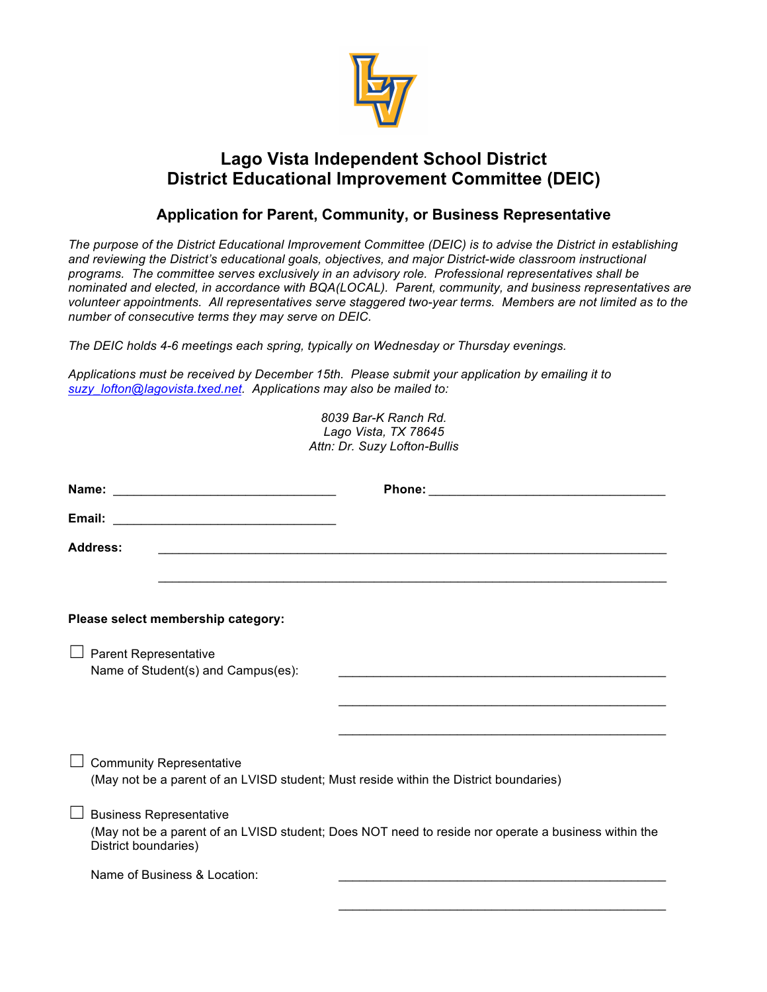

## **Lago Vista Independent School District District Educational Improvement Committee (DEIC)**

## **Application for Parent, Community, or Business Representative**

*The purpose of the District Educational Improvement Committee (DEIC) is to advise the District in establishing and reviewing the District's educational goals, objectives, and major District-wide classroom instructional programs. The committee serves exclusively in an advisory role. Professional representatives shall be nominated and elected, in accordance with BQA(LOCAL). Parent, community, and business representatives are volunteer appointments. All representatives serve staggered two-year terms. Members are not limited as to the number of consecutive terms they may serve on DEIC.*

*The DEIC holds 4-6 meetings each spring, typically on Wednesday or Thursday evenings.* 

*Applications must be received by December 15th. Please submit your application by emailing it to suzy\_lofton@lagovista.txed.net. Applications may also be mailed to:* 

| 8039 Bar-K Ranch Rd.<br>Lago Vista, TX 78645<br>Attn: Dr. Suzy Lofton-Bullis                                             |                                                                                                                                                               |  |
|--------------------------------------------------------------------------------------------------------------------------|---------------------------------------------------------------------------------------------------------------------------------------------------------------|--|
|                                                                                                                          |                                                                                                                                                               |  |
|                                                                                                                          |                                                                                                                                                               |  |
| Address:                                                                                                                 |                                                                                                                                                               |  |
|                                                                                                                          |                                                                                                                                                               |  |
|                                                                                                                          | Please select membership category:                                                                                                                            |  |
| $\Box$ Parent Representative                                                                                             | Name of Student(s) and Campus(es):                                                                                                                            |  |
|                                                                                                                          |                                                                                                                                                               |  |
|                                                                                                                          |                                                                                                                                                               |  |
| <b>Community Representative</b><br>(May not be a parent of an LVISD student; Must reside within the District boundaries) |                                                                                                                                                               |  |
|                                                                                                                          | <b>Business Representative</b><br>(May not be a parent of an LVISD student; Does NOT need to reside nor operate a business within the<br>District boundaries) |  |
|                                                                                                                          | Name of Business & Location:                                                                                                                                  |  |
|                                                                                                                          |                                                                                                                                                               |  |